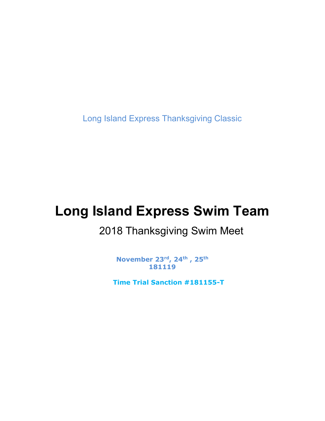Long Island Express Thanksgiving Classic

# Long Island Express Swim Team

# 2018 Thanksgiving Swim Meet

November 23rd, 24th , 25th 181119

Time Trial Sanction #181155-T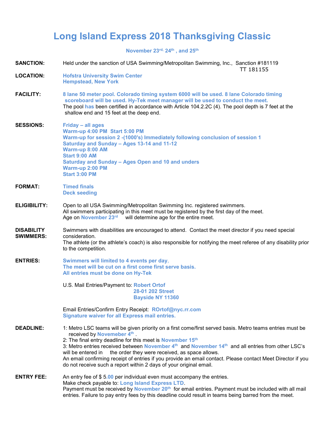# Long Island Express 2018 Thanksgiving Classic

November 23<sup>rd,</sup> 24<sup>th</sup>, and 25<sup>th</sup>

SANCTION: Held under the sanction of USA Swimming/Metropolitan Swimming, Inc., Sanction #181119

|                                       | TT 181155                                                                                                                                                                                                                                                                                                                                                                                                                                                                                                                                                                                              |
|---------------------------------------|--------------------------------------------------------------------------------------------------------------------------------------------------------------------------------------------------------------------------------------------------------------------------------------------------------------------------------------------------------------------------------------------------------------------------------------------------------------------------------------------------------------------------------------------------------------------------------------------------------|
| <b>LOCATION:</b>                      | <b>Hofstra University Swim Center</b><br><b>Hempstead, New York</b>                                                                                                                                                                                                                                                                                                                                                                                                                                                                                                                                    |
| <b>FACILITY:</b>                      | 8 lane 50 meter pool. Colorado timing system 6000 will be used. 8 lane Colorado timing<br>scoreboard will be used. Hy-Tek meet manager will be used to conduct the meet.<br>The pool has been certified in accordance with Article 104.2.2C (4). The pool depth is 7 feet at the<br>shallow end and 15 feet at the deep end.                                                                                                                                                                                                                                                                           |
| <b>SESSIONS:</b>                      | Friday - all ages<br>Warm-up 4:00 PM Start 5:00 PM<br>Warm-up for session 2 - (1000's) Immediately following conclusion of session 1<br>Saturday and Sunday - Ages 13-14 and 11-12<br>Warm-up 8:00 AM<br><b>Start 9:00 AM</b><br>Saturday and Sunday - Ages Open and 10 and unders<br><b>Warm-up 2:00 PM</b><br><b>Start 3:00 PM</b>                                                                                                                                                                                                                                                                   |
| <b>FORMAT:</b>                        | <b>Timed finals</b><br><b>Deck seeding</b>                                                                                                                                                                                                                                                                                                                                                                                                                                                                                                                                                             |
| <b>ELIGIBILITY:</b>                   | Open to all USA Swimming/Metropolitan Swimming Inc. registered swimmers.<br>All swimmers participating in this meet must be registered by the first day of the meet.<br>will determine age for the entire meet.<br>Age on November 23rd                                                                                                                                                                                                                                                                                                                                                                |
| <b>DISABILITY</b><br><b>SWIMMERS:</b> | Swimmers with disabilities are encouraged to attend. Contact the meet director if you need special<br>consideration.<br>The athlete (or the athlete's coach) is also responsible for notifying the meet referee of any disability prior<br>to the competition.                                                                                                                                                                                                                                                                                                                                         |
| <b>ENTRIES:</b>                       | Swimmers will limited to 4 events per day,<br>The meet will be cut on a first come first serve basis.<br>All entries must be done on Hy-Tek                                                                                                                                                                                                                                                                                                                                                                                                                                                            |
|                                       | U.S. Mail Entries/Payment to: Robert Ortof<br>28-01 202 Street<br><b>Bayside NY 11360</b>                                                                                                                                                                                                                                                                                                                                                                                                                                                                                                              |
|                                       | Email Entries/Confirm Entry Receipt: ROrtof@nyc.rr.com<br><b>Signature waiver for all Express mail entries.</b>                                                                                                                                                                                                                                                                                                                                                                                                                                                                                        |
| <b>DEADLINE:</b>                      | 1: Metro LSC teams will be given priority on a first come/first served basis. Metro teams entries must be<br>received by Novemeber 4th.<br>2: The final entry deadline for this meet is <b>November 15th</b><br>3: Metro entries received between November 4 <sup>th</sup> and November 14 <sup>th</sup> and all entries from other LSC's<br>the order they were received, as space allows.<br>will be entered in<br>An email confirming receipt of entries if you provide an email contact. Please contact Meet Director if you<br>do not receive such a report within 2 days of your original email. |
| <b>ENTRY FEE:</b>                     | An entry fee of $$5.00$ per individual even must accompany the entries.<br>Make check payable to: Long Island Express LTD.<br>Payment must be received by November 20 <sup>th</sup> for email entries. Payment must be included with all mail<br>entries. Failure to pay entry fees by this deadline could result in teams being barred from the meet.                                                                                                                                                                                                                                                 |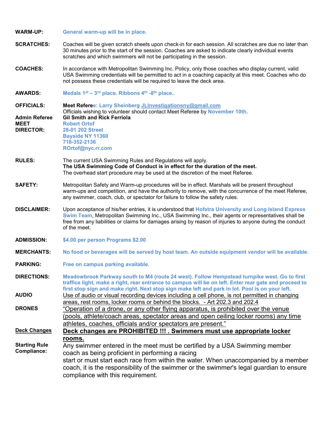WARM-UP: General warm-up will be in place.

- SCRATCHES: Coaches will be given scratch sheets upon check-in for each session. All scratches are due no later than 30 minutes prior to the start of the session. Coaches are asked to indicate clearly individual events scratches and which swimmers will not be participating in the session.
- COACHES: In accordance with Metropolitan Swimming Inc. Policy, only those coaches who display current, valid USA Swimming credentials will be permitted to act in a coaching capacity at this meet. Coaches who do not possess these credentials will be required to leave the deck area.
- **AWARDS:** Medals  $1^{st} 3^{rd}$  place. Ribbons  $4^{th}$  -8<sup>th</sup> place..

| <b>OFFICIALS:</b>                                       | Meet Referee: Larry Sheinberg JLInvestigationsny@gmail.com<br>Officials wishing to volunteer should contact Meet Referee by November 10th.                                                                                                                                                                                                                       |  |
|---------------------------------------------------------|------------------------------------------------------------------------------------------------------------------------------------------------------------------------------------------------------------------------------------------------------------------------------------------------------------------------------------------------------------------|--|
| <b>Admin Referee</b><br><b>MEET</b><br><b>DIRECTOR:</b> | <b>Gil Smith and Rick Ferriola</b><br><b>Robert Ortof</b><br>28-01 202 Street<br><b>Bayside NY 11360</b><br>718-352-2136<br>ROrtof@nyc.rr.com                                                                                                                                                                                                                    |  |
| <b>RULES:</b>                                           | The current USA Swimming Rules and Regulations will apply.<br>The USA Swimming Code of Conduct is in effect for the duration of the meet.<br>The overhead start procedure may be used at the discretion of the meet Referee.                                                                                                                                     |  |
| <b>SAFETY:</b>                                          | Metropolitan Safety and Warm-up procedures will be in effect. Marshals will be present throughout<br>warm-ups and competition, and have the authority to remove, with the concurrence of the meet Referee,<br>any swimmer, coach, club, or spectator for failure to follow the safety rules.                                                                     |  |
| <b>DISCLAIMER:</b>                                      | Upon acceptance of his/her entries, it is understood that Hofstra University and Long Island Express<br>Swim Team, Metropolitan Swimming Inc., USA Swimming Inc., their agents or representatives shall be<br>free from any liabilities or claims for damages arising by reason of injuries to anyone during the conduct<br>of the meet.                         |  |
| <b>ADMISSION:</b>                                       | \$4.00 per person Programs \$2.00                                                                                                                                                                                                                                                                                                                                |  |
| <b>MERCHANTS:</b>                                       | No food or beverages will be served by host team. An outside equipment vendor will be available.                                                                                                                                                                                                                                                                 |  |
| <b>PARKING:</b>                                         | Free on campus parking available.                                                                                                                                                                                                                                                                                                                                |  |
| <b>DIRECTIONS:</b>                                      | Meadowbrook Parkway south to M4 (route 24 west). Follow Hempstead turnpike west. Go to first<br>traffice light, make a right, rear entrance to campus will be on left. Enter rear gate and proceed to<br>first stop sign and make right. Next stop sign make left and park in lot. Pool is on your left.                                                         |  |
| <b>AUDIO</b>                                            | Use of audio or visual recording devices including a cell phone, is not permitted in changing<br>areas, rest rooms, locker rooms or behind the blocks. - Art 202.3 and 202.4                                                                                                                                                                                     |  |
| <b>DRONES</b>                                           | "Operation of a drone, or any other flying apparatus, is prohibited over the venue<br>(pools, athlete/coach areas, spectator areas and open ceiling locker rooms) any time<br>athletes, coaches, officials and/or spectators are present."                                                                                                                       |  |
| <b>Deck Changes</b>                                     | Deck changes are PROHIBITED !!! . Swimmers must use appropriate locker                                                                                                                                                                                                                                                                                           |  |
| <b>Starting Rule</b><br>Compliance:                     | rooms.<br>Any swimmer entered in the meet must be certified by a USA Swimming member<br>coach as being proficient in performing a racing<br>start or must start each race from within the water. When unaccompanied by a member<br>coach, it is the responsibility of the swimmer or the swimmer's legal guardian to ensure<br>compliance with this requirement. |  |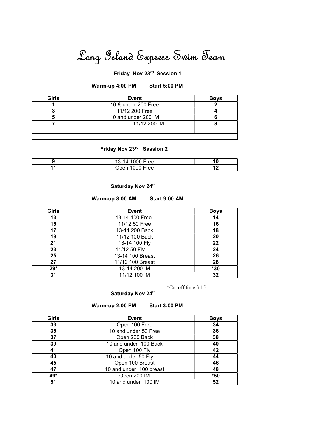# Long Island Express Swim Team

### Friday Nov 23rd Session 1

#### Warm-up 4:00 PM Start 5:00 PM

| Girls | <b>Event</b>        | <b>Boys</b> |
|-------|---------------------|-------------|
|       | 10 & under 200 Free |             |
|       | 11/12 200 Free      |             |
|       | 10 and under 200 IM |             |
|       | 11/12 200 IM        |             |
|       |                     |             |
|       |                     |             |

# Friday Nov 23rd Session 2

| 1000 Free<br>13-14 | IО |
|--------------------|----|
| 1000 Free<br>)nen  |    |

#### Saturday Nov 24th

#### Warm-up 8:00 AM Start 9:00 AM

| Girls | Event            | <b>Boys</b> |
|-------|------------------|-------------|
| 13    | 13-14 100 Free   | 14          |
| 15    | 11/12 50 Free    | 16          |
| 17    | 13-14 200 Back   | 18          |
| 19    | 11/12 100 Back   | 20          |
| 21    | 13-14 100 Fly    | 22          |
| 23    | 11/12 50 Fly     | 24          |
| 25    | 13-14 100 Breast | 26          |
| 27    | 11/12 100 Breast | 28          |
| $29*$ | 13-14 200 IM     | $*30$       |
| 31    | 11/12 100 IM     | 32          |

\*Cut off time 3:15

#### Saturday Nov 24th

#### Warm-up 2:00 PM Start 3:00 PM

| <b>Girls</b> | <b>Event</b>            | <b>Boys</b> |
|--------------|-------------------------|-------------|
| 33           | Open 100 Free           | 34          |
| 35           | 10 and under 50 Free    | 36          |
| 37           | Open 200 Back           | 38          |
| 39           | 10 and under 100 Back   | 40          |
| 41           | Open 100 Fly            | 42          |
| 43           | 10 and under 50 Fly     | 44          |
| 45           | Open 100 Breast         | 46          |
| 47           | 10 and under 100 breast | 48          |
| 49*          | Open 200 IM             | $*50$       |
| 51           | 10 and under 100 IM     | 52          |